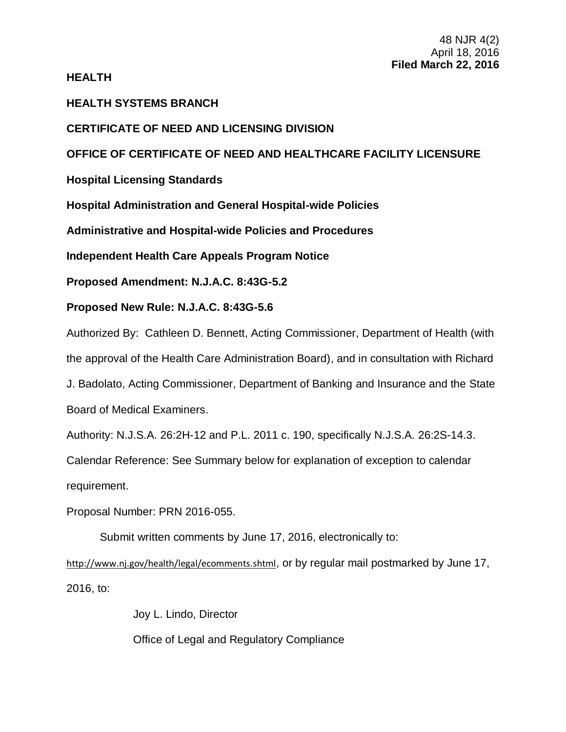# **HEALTH**

# **HEALTH SYSTEMS BRANCH**

# **CERTIFICATE OF NEED AND LICENSING DIVISION**

# **OFFICE OF CERTIFICATE OF NEED AND HEALTHCARE FACILITY LICENSURE**

**Hospital Licensing Standards**

**Hospital Administration and General Hospital-wide Policies**

**Administrative and Hospital-wide Policies and Procedures**

**Independent Health Care Appeals Program Notice**

**Proposed Amendment: N.J.A.C. 8:43G-5.2**

# **Proposed New Rule: N.J.A.C. 8:43G-5.6**

Authorized By: Cathleen D. Bennett, Acting Commissioner, Department of Health (with the approval of the Health Care Administration Board), and in consultation with Richard J. Badolato, Acting Commissioner, Department of Banking and Insurance and the State Board of Medical Examiners.

Authority: N.J.S.A. 26:2H-12 and P.L. 2011 c. 190, specifically N.J.S.A. 26:2S-14.3.

Calendar Reference: See Summary below for explanation of exception to calendar

requirement.

Proposal Number: PRN 2016-055.

Submit written comments by June 17, 2016, electronically to:

http://www.nj.gov/health/legal/ecomments.shtml, or by regular mail postmarked by June 17, 2016, to:

Joy L. Lindo, Director

Office of Legal and Regulatory Compliance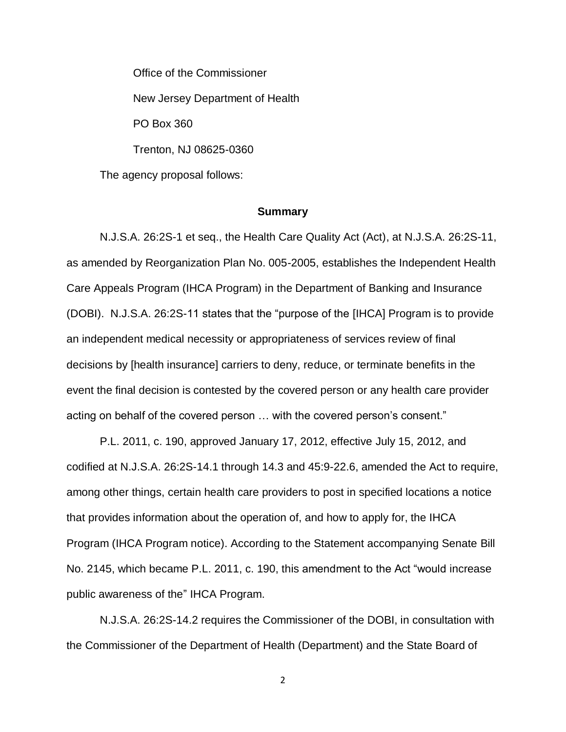Office of the Commissioner New Jersey Department of Health PO Box 360 Trenton, NJ 08625-0360 The agency proposal follows:

### **Summary**

N.J.S.A. 26:2S-1 et seq., the Health Care Quality Act (Act), at N.J.S.A. 26:2S-11, as amended by Reorganization Plan No. 005-2005, establishes the Independent Health Care Appeals Program (IHCA Program) in the Department of Banking and Insurance (DOBI). N.J.S.A. 26:2S-11 states that the "purpose of the [IHCA] Program is to provide an independent medical necessity or appropriateness of services review of final decisions by [health insurance] carriers to deny, reduce, or terminate benefits in the event the final decision is contested by the covered person or any health care provider acting on behalf of the covered person … with the covered person's consent."

P.L. 2011, c. 190, approved January 17, 2012, effective July 15, 2012, and codified at N.J.S.A. 26:2S-14.1 through 14.3 and 45:9-22.6, amended the Act to require, among other things, certain health care providers to post in specified locations a notice that provides information about the operation of, and how to apply for, the IHCA Program (IHCA Program notice). According to the Statement accompanying Senate Bill No. 2145, which became P.L. 2011, c. 190, this amendment to the Act "would increase public awareness of the" IHCA Program.

N.J.S.A. 26:2S-14.2 requires the Commissioner of the DOBI, in consultation with the Commissioner of the Department of Health (Department) and the State Board of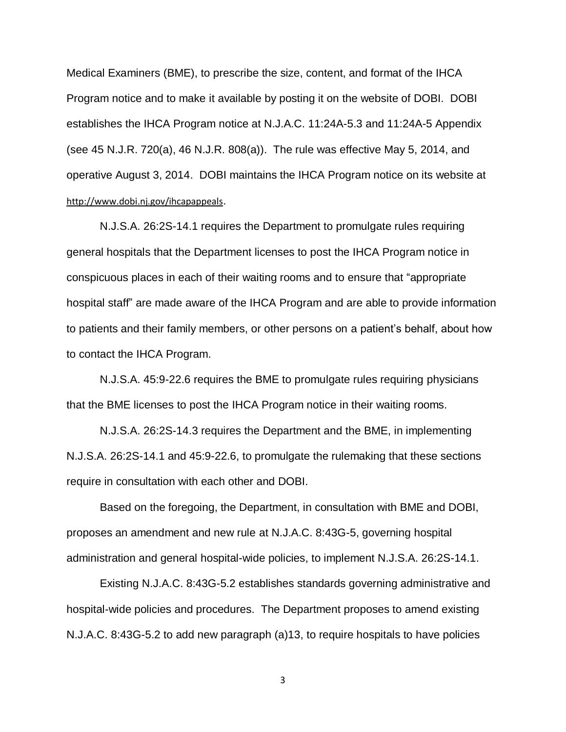Medical Examiners (BME), to prescribe the size, content, and format of the IHCA Program notice and to make it available by posting it on the website of DOBI. DOBI establishes the IHCA Program notice at N.J.A.C. 11:24A-5.3 and 11:24A-5 Appendix (see 45 N.J.R. 720(a), 46 N.J.R. 808(a)). The rule was effective May 5, 2014, and operative August 3, 2014. DOBI maintains the IHCA Program notice on its website at http://www.dobi.nj.gov/ihcapappeals.

N.J.S.A. 26:2S-14.1 requires the Department to promulgate rules requiring general hospitals that the Department licenses to post the IHCA Program notice in conspicuous places in each of their waiting rooms and to ensure that "appropriate hospital staff" are made aware of the IHCA Program and are able to provide information to patients and their family members, or other persons on a patient's behalf, about how to contact the IHCA Program.

N.J.S.A. 45:9-22.6 requires the BME to promulgate rules requiring physicians that the BME licenses to post the IHCA Program notice in their waiting rooms.

N.J.S.A. 26:2S-14.3 requires the Department and the BME, in implementing N.J.S.A. 26:2S-14.1 and 45:9-22.6, to promulgate the rulemaking that these sections require in consultation with each other and DOBI.

Based on the foregoing, the Department, in consultation with BME and DOBI, proposes an amendment and new rule at N.J.A.C. 8:43G-5, governing hospital administration and general hospital-wide policies, to implement N.J.S.A. 26:2S-14.1.

Existing N.J.A.C. 8:43G-5.2 establishes standards governing administrative and hospital-wide policies and procedures. The Department proposes to amend existing N.J.A.C. 8:43G-5.2 to add new paragraph (a)13, to require hospitals to have policies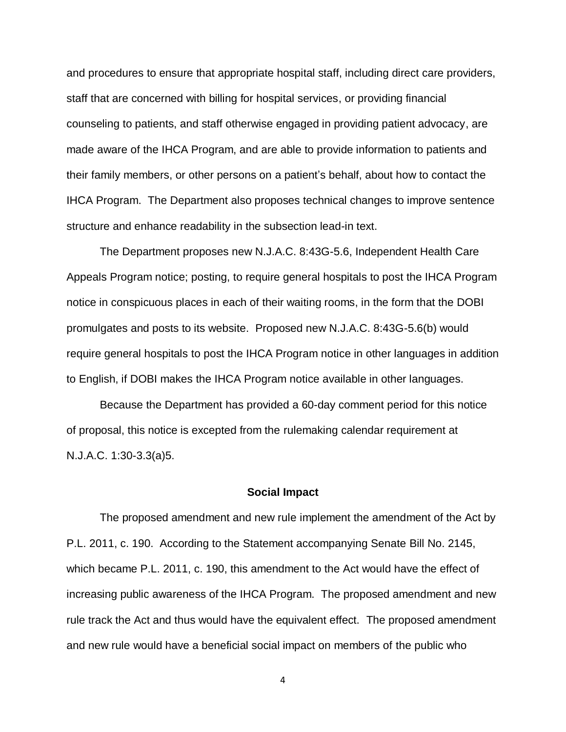and procedures to ensure that appropriate hospital staff, including direct care providers, staff that are concerned with billing for hospital services, or providing financial counseling to patients, and staff otherwise engaged in providing patient advocacy, are made aware of the IHCA Program, and are able to provide information to patients and their family members, or other persons on a patient's behalf, about how to contact the IHCA Program. The Department also proposes technical changes to improve sentence structure and enhance readability in the subsection lead-in text.

The Department proposes new N.J.A.C. 8:43G-5.6, Independent Health Care Appeals Program notice; posting, to require general hospitals to post the IHCA Program notice in conspicuous places in each of their waiting rooms, in the form that the DOBI promulgates and posts to its website. Proposed new N.J.A.C. 8:43G-5.6(b) would require general hospitals to post the IHCA Program notice in other languages in addition to English, if DOBI makes the IHCA Program notice available in other languages.

Because the Department has provided a 60-day comment period for this notice of proposal, this notice is excepted from the rulemaking calendar requirement at N.J.A.C. 1:30-3.3(a)5.

### **Social Impact**

The proposed amendment and new rule implement the amendment of the Act by P.L. 2011, c. 190. According to the Statement accompanying Senate Bill No. 2145, which became P.L. 2011, c. 190, this amendment to the Act would have the effect of increasing public awareness of the IHCA Program. The proposed amendment and new rule track the Act and thus would have the equivalent effect. The proposed amendment and new rule would have a beneficial social impact on members of the public who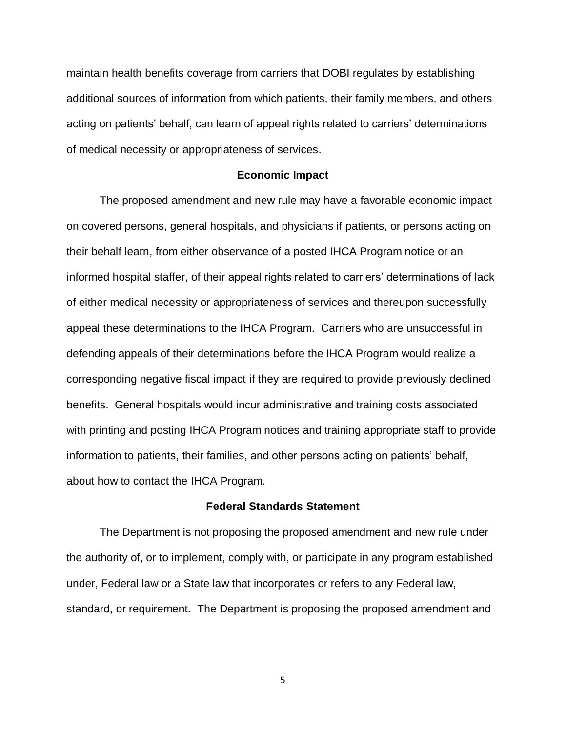maintain health benefits coverage from carriers that DOBI regulates by establishing additional sources of information from which patients, their family members, and others acting on patients' behalf, can learn of appeal rights related to carriers' determinations of medical necessity or appropriateness of services.

#### **Economic Impact**

The proposed amendment and new rule may have a favorable economic impact on covered persons, general hospitals, and physicians if patients, or persons acting on their behalf learn, from either observance of a posted IHCA Program notice or an informed hospital staffer, of their appeal rights related to carriers' determinations of lack of either medical necessity or appropriateness of services and thereupon successfully appeal these determinations to the IHCA Program. Carriers who are unsuccessful in defending appeals of their determinations before the IHCA Program would realize a corresponding negative fiscal impact if they are required to provide previously declined benefits. General hospitals would incur administrative and training costs associated with printing and posting IHCA Program notices and training appropriate staff to provide information to patients, their families, and other persons acting on patients' behalf, about how to contact the IHCA Program.

### **Federal Standards Statement**

The Department is not proposing the proposed amendment and new rule under the authority of, or to implement, comply with, or participate in any program established under, Federal law or a State law that incorporates or refers to any Federal law, standard, or requirement. The Department is proposing the proposed amendment and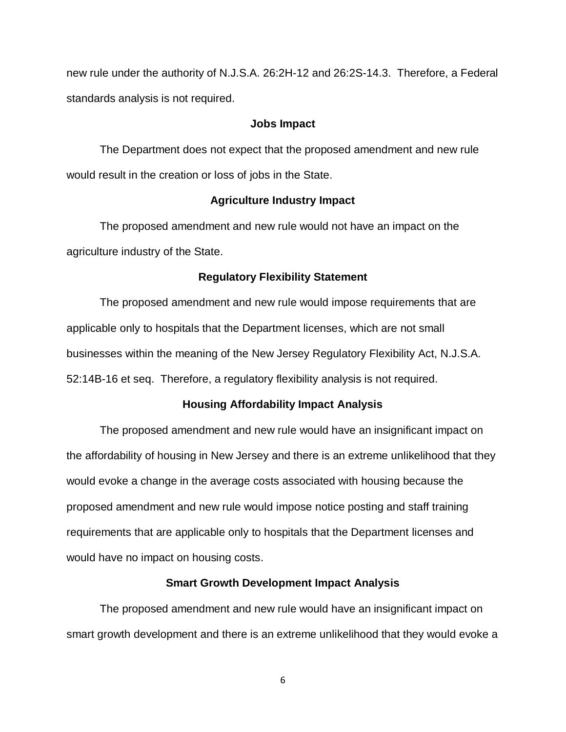new rule under the authority of N.J.S.A. 26:2H-12 and 26:2S-14.3. Therefore, a Federal standards analysis is not required.

### **Jobs Impact**

The Department does not expect that the proposed amendment and new rule would result in the creation or loss of jobs in the State.

### **Agriculture Industry Impact**

The proposed amendment and new rule would not have an impact on the agriculture industry of the State.

#### **Regulatory Flexibility Statement**

The proposed amendment and new rule would impose requirements that are applicable only to hospitals that the Department licenses, which are not small businesses within the meaning of the New Jersey Regulatory Flexibility Act, N.J.S.A. 52:14B-16 et seq. Therefore, a regulatory flexibility analysis is not required.

### **Housing Affordability Impact Analysis**

The proposed amendment and new rule would have an insignificant impact on the affordability of housing in New Jersey and there is an extreme unlikelihood that they would evoke a change in the average costs associated with housing because the proposed amendment and new rule would impose notice posting and staff training requirements that are applicable only to hospitals that the Department licenses and would have no impact on housing costs.

## **Smart Growth Development Impact Analysis**

The proposed amendment and new rule would have an insignificant impact on smart growth development and there is an extreme unlikelihood that they would evoke a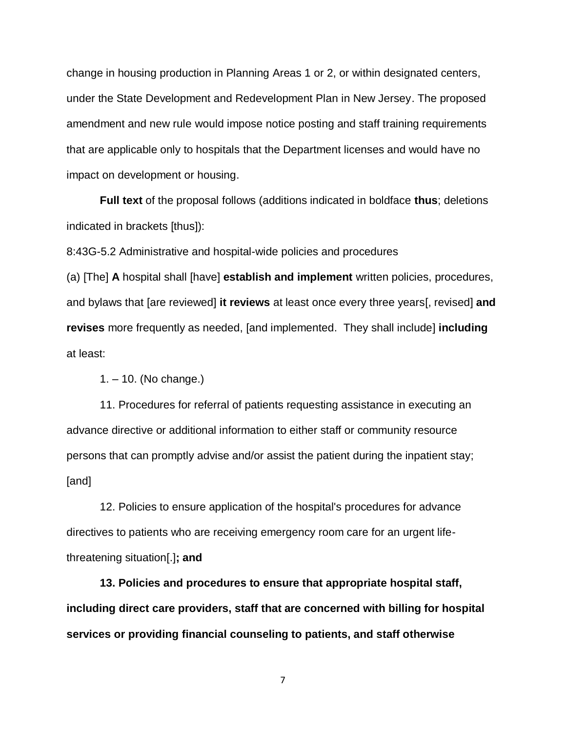change in housing production in Planning Areas 1 or 2, or within designated centers, under the State Development and Redevelopment Plan in New Jersey. The proposed amendment and new rule would impose notice posting and staff training requirements that are applicable only to hospitals that the Department licenses and would have no impact on development or housing.

**Full text** of the proposal follows (additions indicated in boldface **thus**; deletions indicated in brackets [thus]):

8:43G-5.2 Administrative and hospital-wide policies and procedures

(a) [The] **A** hospital shall [have] **establish and implement** written policies, procedures, and bylaws that [are reviewed] **it reviews** at least once every three years[, revised] **and revises** more frequently as needed, [and implemented. They shall include] **including** at least:

1. – 10. (No change.)

11. Procedures for referral of patients requesting assistance in executing an advance directive or additional information to either staff or community resource persons that can promptly advise and/or assist the patient during the inpatient stay; [and]

12. Policies to ensure application of the hospital's procedures for advance directives to patients who are receiving emergency room care for an urgent lifethreatening situation[.]**; and**

**13. Policies and procedures to ensure that appropriate hospital staff, including direct care providers, staff that are concerned with billing for hospital services or providing financial counseling to patients, and staff otherwise**